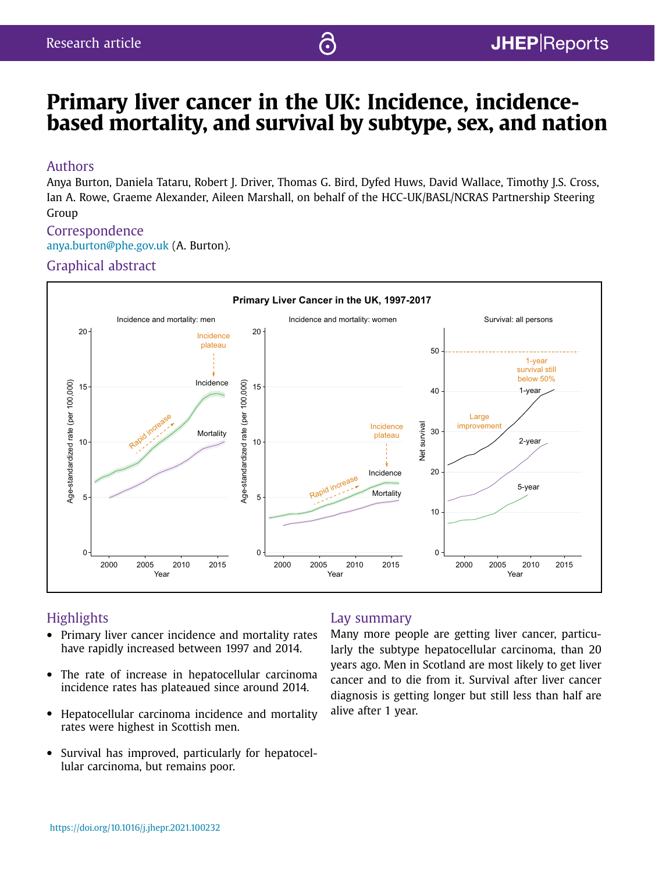# Primary liver cancer in the UK: Incidence, incidencebased mortality, and survival by subtype, sex, and nation

෬

## Authors

Anya Burton, Daniela Tataru, Robert J. Driver, Thomas G. Bird, Dyfed Huws, David Wallace, Timothy J.S. Cross, Ian A. Rowe, Graeme Alexander, Aileen Marshall, on behalf of the HCC-UK/BASL/NCRAS Partnership Steering Group

# Correspondence anya.burton@phe.gov.uk (A. Burton).

## Graphical abstract



# **Highlights**

- Primary liver cancer incidence and mortality rates have rapidly increased between 1997 and 2014.
- The rate of increase in hepatocellular carcinoma incidence rates has plateaued since around 2014.
- Hepatocellular carcinoma incidence and mortality rates were highest in Scottish men.
- Survival has improved, particularly for hepatocellular carcinoma, but remains poor.

## Lay summary

Many more people are getting liver cancer, particularly the subtype hepatocellular carcinoma, than 20 years ago. Men in Scotland are most likely to get liver cancer and to die from it. Survival after liver cancer diagnosis is getting longer but still less than half are alive after 1 year.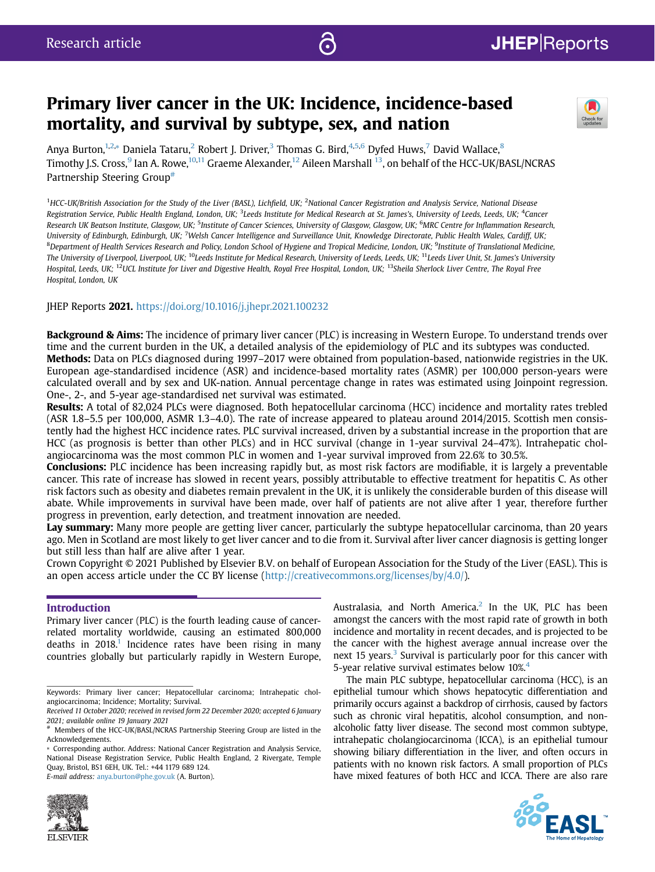# Primary liver cancer in the UK: Incidence, incidence-based mortality, and survival by subtype, sex, and nation



Anya Burton,<sup>1,2,</sup>\* Daniela Tataru,<sup>2</sup> Robert J. Driver,<sup>3</sup> Thomas G. Bird,<sup>4,5,6</sup> Dyfed Huws,<sup>7</sup> David Wallace,<sup>8</sup> Timothy J.S. Cross,<sup>9</sup> Ian A. Rowe,<sup>10,11</sup> Graeme Alexander,<sup>12</sup> Aileen Marshall <sup>13</sup>, on behalf of the HCC-UK/BASL/NCRAS Partnership Steering Group[#](#page-1-0)

<sup>1</sup>HCC-UK/British Association for the Study of the Liver (BASL), Lichfield, UK; <sup>2</sup>National Cancer Registration and Analysis Service, National Disease Registration Service, Public Health England, London, UK; <sup>3</sup>Leeds Institute for Medical Research at St. James's, University of Leeds, Leeds, UK; <sup>4</sup>Cancer Research UK Beatson Institute, Glasgow, UK; <sup>5</sup>Institute of Cancer Sciences, University of Glasgow, Glasgow, UK; <sup>6</sup>MRC Centre for Inflammation Research, University of Edinburgh, Edinburgh, UK; <sup>7</sup>Welsh Cancer Intelligence and Surveillance Unit, Knowledge Directorate, Public Health Wales, Cardiff, UK; <sup>8</sup>Department of Health Services Research and Policy, London School of Hygiene and Tropical Medicine, London, UK; <sup>9</sup>Institute of Translational Medicine, The University of Liverpool, Liverpool, UK; <sup>10</sup>Leeds Institute for Medical Research, University of Leeds, Leeds, UK; <sup>11</sup>Leeds Liver Unit, St. James's University Hospital, Leeds, UK; <sup>12</sup>UCL Institute for Liver and Digestive Health, Royal Free Hospital, London, UK; <sup>13</sup>Sheila Sherlock Liver Centre, The Royal Free Hospital, London, UK

## JHEP Reports 2021. <https://doi.org/10.1016/j.jhepr.2021.100232>

Background & Aims: The incidence of primary liver cancer (PLC) is increasing in Western Europe. To understand trends over time and the current burden in the UK, a detailed analysis of the epidemiology of PLC and its subtypes was conducted. Methods: Data on PLCs diagnosed during 1997–2017 were obtained from population-based, nationwide registries in the UK. European age-standardised incidence (ASR) and incidence-based mortality rates (ASMR) per 100,000 person-years were calculated overall and by sex and UK-nation. Annual percentage change in rates was estimated using Joinpoint regression. One-, 2-, and 5-year age-standardised net survival was estimated.

Results: A total of 82,024 PLCs were diagnosed. Both hepatocellular carcinoma (HCC) incidence and mortality rates trebled (ASR 1.8–5.5 per 100,000, ASMR 1.3–4.0). The rate of increase appeared to plateau around 2014/2015. Scottish men consistently had the highest HCC incidence rates. PLC survival increased, driven by a substantial increase in the proportion that are HCC (as prognosis is better than other PLCs) and in HCC survival (change in 1-year survival 24–47%). Intrahepatic cholangiocarcinoma was the most common PLC in women and 1-year survival improved from 22.6% to 30.5%.

Conclusions: PLC incidence has been increasing rapidly but, as most risk factors are modifiable, it is largely a preventable cancer. This rate of increase has slowed in recent years, possibly attributable to effective treatment for hepatitis C. As other risk factors such as obesity and diabetes remain prevalent in the UK, it is unlikely the considerable burden of this disease will abate. While improvements in survival have been made, over half of patients are not alive after 1 year, therefore further progress in prevention, early detection, and treatment innovation are needed.

Lay summary: Many more people are getting liver cancer, particularly the subtype hepatocellular carcinoma, than 20 years ago. Men in Scotland are most likely to get liver cancer and to die from it. Survival after liver cancer diagnosis is getting longer but still less than half are alive after 1 year.

Crown Copyright © 2021 Published by Elsevier B.V. on behalf of European Association for the Study of the Liver (EASL). This is an open access article under the CC BY license [\(http://creativecommons.org/licenses/by/4.0/](http://creativecommons.org/licenses/by/4.0/)).

## Introduction

Primary liver cancer (PLC) is the fourth leading cause of cancerrelated mortality worldwide, causing an estimated 800,000 deaths in  $2018$ .<sup>1</sup> Incidence rates have been rising in many countries globally but particularly rapidly in Western Europe,

E-mail address: [anya.burton@phe.gov.uk](mailto:anya.burton@phe.gov.uk) (A. Burton).



Australasia, and North America.<sup>[2](#page-10-1)</sup> In the UK, PLC has been amongst the cancers with the most rapid rate of growth in both incidence and mortality in recent decades, and is projected to be the cancer with the highest average annual increase over the next 15 years. $3$  Survival is particularly poor for this cancer with 5-year relative survival estimates below 10%.<sup>[4](#page-10-3)</sup>

The main PLC subtype, hepatocellular carcinoma (HCC), is an epithelial tumour which shows hepatocytic differentiation and primarily occurs against a backdrop of cirrhosis, caused by factors such as chronic viral hepatitis, alcohol consumption, and nonalcoholic fatty liver disease. The second most common subtype, intrahepatic cholangiocarcinoma (ICCA), is an epithelial tumour showing biliary differentiation in the liver, and often occurs in patients with no known risk factors. A small proportion of PLCs have mixed features of both HCC and ICCA. There are also rare



Keywords: Primary liver cancer; Hepatocellular carcinoma; Intrahepatic cholangiocarcinoma; Incidence; Mortality; Survival.

Received 11 October 2020; received in revised form 22 December 2020; accepted 6 January 2021; available online 19 January 2021

<span id="page-1-0"></span><sup>#</sup> Members of the HCC-UK/BASL/NCRAS Partnership Steering Group are listed in the Acknowledgements.

<sup>\*</sup> Corresponding author. Address: National Cancer Registration and Analysis Service, National Disease Registration Service, Public Health England, 2 Rivergate, Temple Quay, Bristol, BS1 6EH, UK. Tel.: +44 1179 689 124.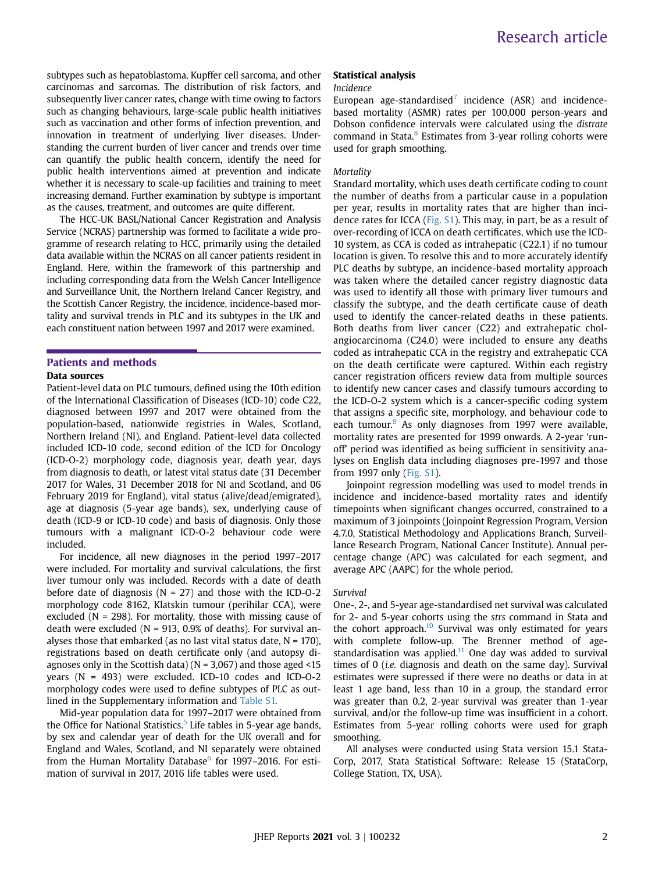subtypes such as hepatoblastoma, Kupffer cell sarcoma, and other carcinomas and sarcomas. The distribution of risk factors, and subsequently liver cancer rates, change with time owing to factors such as changing behaviours, large-scale public health initiatives such as vaccination and other forms of infection prevention, and innovation in treatment of underlying liver diseases. Understanding the current burden of liver cancer and trends over time can quantify the public health concern, identify the need for public health interventions aimed at prevention and indicate whether it is necessary to scale-up facilities and training to meet increasing demand. Further examination by subtype is important as the causes, treatment, and outcomes are quite different.

The HCC-UK BASL/National Cancer Registration and Analysis Service (NCRAS) partnership was formed to facilitate a wide programme of research relating to HCC, primarily using the detailed data available within the NCRAS on all cancer patients resident in England. Here, within the framework of this partnership and including corresponding data from the Welsh Cancer Intelligence and Surveillance Unit, the Northern Ireland Cancer Registry, and the Scottish Cancer Registry, the incidence, incidence-based mortality and survival trends in PLC and its subtypes in the UK and each constituent nation between 1997 and 2017 were examined.

## Patients and methods

### Data sources

Patient-level data on PLC tumours, defined using the 10th edition of the International Classification of Diseases (ICD-10) code C22, diagnosed between 1997 and 2017 were obtained from the population-based, nationwide registries in Wales, Scotland, Northern Ireland (NI), and England. Patient-level data collected included ICD-10 code, second edition of the ICD for Oncology (ICD-O-2) morphology code, diagnosis year, death year, days from diagnosis to death, or latest vital status date (31 December 2017 for Wales, 31 December 2018 for NI and Scotland, and 06 February 2019 for England), vital status (alive/dead/emigrated), age at diagnosis (5-year age bands), sex, underlying cause of death (ICD-9 or ICD-10 code) and basis of diagnosis. Only those tumours with a malignant ICD-O-2 behaviour code were included.

For incidence, all new diagnoses in the period 1997–2017 were included. For mortality and survival calculations, the first liver tumour only was included. Records with a date of death before date of diagnosis ( $N = 27$ ) and those with the ICD-O-2 morphology code 8162, Klatskin tumour (perihilar CCA), were excluded ( $N = 298$ ). For mortality, those with missing cause of death were excluded ( $N = 913$ , 0.9% of deaths). For survival analyses those that embarked (as no last vital status date,  $N = 170$ ), registrations based on death certificate only (and autopsy diagnoses only in the Scottish data) ( $N = 3,067$ ) and those aged <15 years (N = 493) were excluded. ICD-10 codes and ICD-O-2 morphology codes were used to define subtypes of PLC as outlined in the Supplementary information and Table S1.

Mid-year population data for 1997–2017 were obtained from the Office for National Statistics. $5$  Life tables in 5-year age bands, by sex and calendar year of death for the UK overall and for England and Wales, Scotland, and NI separately were obtained from the Human Mortality Database $<sup>6</sup>$  $<sup>6</sup>$  $<sup>6</sup>$  for 1997–2016. For esti-</sup> mation of survival in 2017, 2016 life tables were used.

#### Statistical analysis

#### Incidence

European age-standardised<sup>[7](#page-10-6)</sup> incidence (ASR) and incidencebased mortality (ASMR) rates per 100,000 person-years and Dobson confidence intervals were calculated using the distrate command in Stata.<sup>[8](#page-10-7)</sup> Estimates from 3-year rolling cohorts were used for graph smoothing.

### Mortality

Standard mortality, which uses death certificate coding to count the number of deaths from a particular cause in a population per year, results in mortality rates that are higher than incidence rates for ICCA (Fig. S1). This may, in part, be as a result of over-recording of ICCA on death certificates, which use the ICD-10 system, as CCA is coded as intrahepatic (C22.1) if no tumour location is given. To resolve this and to more accurately identify PLC deaths by subtype, an incidence-based mortality approach was taken where the detailed cancer registry diagnostic data was used to identify all those with primary liver tumours and classify the subtype, and the death certificate cause of death used to identify the cancer-related deaths in these patients. Both deaths from liver cancer (C22) and extrahepatic cholangiocarcinoma (C24.0) were included to ensure any deaths coded as intrahepatic CCA in the registry and extrahepatic CCA on the death certificate were captured. Within each registry cancer registration officers review data from multiple sources to identify new cancer cases and classify tumours according to the ICD-O-2 system which is a cancer-specific coding system that assigns a specific site, morphology, and behaviour code to each tumour.<sup>[9](#page-10-8)</sup> As only diagnoses from 1997 were available, mortality rates are presented for 1999 onwards. A 2-year 'runoff' period was identified as being sufficient in sensitivity analyses on English data including diagnoses pre-1997 and those from 1997 only (Fig. S1).

Joinpoint regression modelling was used to model trends in incidence and incidence-based mortality rates and identify timepoints when significant changes occurred, constrained to a maximum of 3 joinpoints (Joinpoint Regression Program, Version 4.7.0, Statistical Methodology and Applications Branch, Surveillance Research Program, National Cancer Institute). Annual percentage change (APC) was calculated for each segment, and average APC (AAPC) for the whole period.

#### Survival

One-, 2-, and 5-year age-standardised net survival was calculated for 2- and 5-year cohorts using the strs command in Stata and the cohort approach.<sup>[10](#page-10-9)</sup> Survival was only estimated for years with complete follow-up. The Brenner method of agestandardisation was applied. $11$  One day was added to survival times of 0 (i.e. diagnosis and death on the same day). Survival estimates were supressed if there were no deaths or data in at least 1 age band, less than 10 in a group, the standard error was greater than 0.2, 2-year survival was greater than 1-year survival, and/or the follow-up time was insufficient in a cohort. Estimates from 5-year rolling cohorts were used for graph smoothing.

All analyses were conducted using Stata version 15.1 Stata-Corp, 2017, Stata Statistical Software: Release 15 (StataCorp, College Station, TX, USA).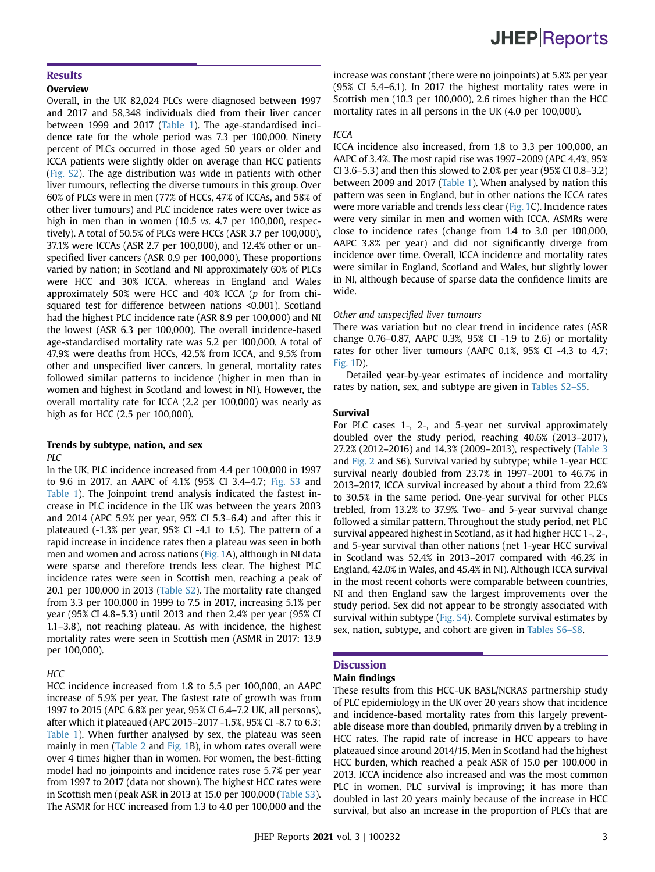# **JHEP**Reports

### **Results**

### **Overview**

Overall, in the UK 82,024 PLCs were diagnosed between 1997 and 2017 and 58,348 individuals died from their liver cancer between 1999 and 2017 [\(Table 1\)](#page-4-0). The age-standardised incidence rate for the whole period was 7.3 per 100,000. Ninety percent of PLCs occurred in those aged 50 years or older and ICCA patients were slightly older on average than HCC patients (Fig. S2). The age distribution was wide in patients with other liver tumours, reflecting the diverse tumours in this group. Over 60% of PLCs were in men (77% of HCCs, 47% of ICCAs, and 58% of other liver tumours) and PLC incidence rates were over twice as high in men than in women (10.5 vs. 4.7 per 100,000, respectively). A total of 50.5% of PLCs were HCCs (ASR 3.7 per 100,000), 37.1% were ICCAs (ASR 2.7 per 100,000), and 12.4% other or unspecified liver cancers (ASR 0.9 per 100,000). These proportions varied by nation; in Scotland and NI approximately 60% of PLCs were HCC and 30% ICCA, whereas in England and Wales approximately 50% were HCC and 40% ICCA (p for from chisquared test for difference between nations <0.001). Scotland had the highest PLC incidence rate (ASR 8.9 per 100,000) and NI the lowest (ASR 6.3 per 100,000). The overall incidence-based age-standardised mortality rate was 5.2 per 100,000. A total of 47.9% were deaths from HCCs, 42.5% from ICCA, and 9.5% from other and unspecified liver cancers. In general, mortality rates followed similar patterns to incidence (higher in men than in women and highest in Scotland and lowest in NI). However, the overall mortality rate for ICCA (2.2 per 100,000) was nearly as high as for HCC (2.5 per 100,000).

#### Trends by subtype, nation, and sex  $PIC$

In the UK, PLC incidence increased from 4.4 per 100,000 in 1997 to 9.6 in 2017, an AAPC of 4.1% (95% CI 3.4–4.7; Fig. S3 and [Table 1](#page-4-0)). The Joinpoint trend analysis indicated the fastest increase in PLC incidence in the UK was between the years 2003 and 2014 (APC 5.9% per year, 95% CI 5.3–6.4) and after this it plateaued (-1.3% per year, 95% CI -4.1 to 1.5). The pattern of a rapid increase in incidence rates then a plateau was seen in both men and women and across nations ([Fig. 1](#page-5-0)A), although in NI data were sparse and therefore trends less clear. The highest PLC incidence rates were seen in Scottish men, reaching a peak of 20.1 per 100,000 in 2013 (Table S2). The mortality rate changed from 3.3 per 100,000 in 1999 to 7.5 in 2017, increasing 5.1% per year (95% CI 4.8–5.3) until 2013 and then 2.4% per year (95% CI 1.1–3.8), not reaching plateau. As with incidence, the highest mortality rates were seen in Scottish men (ASMR in 2017: 13.9 per 100,000).

#### **HCC**

HCC incidence increased from 1.8 to 5.5 per 100,000, an AAPC increase of 5.9% per year. The fastest rate of growth was from 1997 to 2015 (APC 6.8% per year, 95% CI 6.4–7.2 UK, all persons), after which it plateaued (APC 2015–2017 -1.5%, 95% CI -8.7 to 6.3; [Table 1](#page-4-0)). When further analysed by sex, the plateau was seen mainly in men ([Table 2](#page-6-0) and [Fig. 1](#page-5-0)B), in whom rates overall were over 4 times higher than in women. For women, the best-fitting model had no joinpoints and incidence rates rose 5.7% per year from 1997 to 2017 (data not shown). The highest HCC rates were in Scottish men (peak ASR in 2013 at 15.0 per 100,000 (Table S3). The ASMR for HCC increased from 1.3 to 4.0 per 100,000 and the

#### ICCA

ICCA incidence also increased, from 1.8 to 3.3 per 100,000, an AAPC of 3.4%. The most rapid rise was 1997–2009 (APC 4.4%, 95% CI 3.6–5.3) and then this slowed to 2.0% per year (95% CI 0.8–3.2) between 2009 and 2017 [\(Table 1\)](#page-4-0). When analysed by nation this pattern was seen in England, but in other nations the ICCA rates were more variable and trends less clear [\(Fig. 1C](#page-5-0)). Incidence rates were very similar in men and women with ICCA. ASMRs were close to incidence rates (change from 1.4 to 3.0 per 100,000, AAPC 3.8% per year) and did not significantly diverge from incidence over time. Overall, ICCA incidence and mortality rates were similar in England, Scotland and Wales, but slightly lower in NI, although because of sparse data the confidence limits are wide.

#### Other and unspecified liver tumours

There was variation but no clear trend in incidence rates (ASR change 0.76–0.87, AAPC 0.3%, 95% CI -1.9 to 2.6) or mortality rates for other liver tumours (AAPC 0.1%, 95% CI -4.3 to 4.7; [Fig. 1D](#page-5-0)).

Detailed year-by-year estimates of incidence and mortality rates by nation, sex, and subtype are given in Tables S2–S5.

#### Survival

For PLC cases 1-, 2-, and 5-year net survival approximately doubled over the study period, reaching 40.6% (2013–2017), 27.2% (2012–2016) and 14.3% (2009–2013), respectively ([Table 3](#page-7-0) and [Fig. 2](#page-9-0) and S6). Survival varied by subtype; while 1-year HCC survival nearly doubled from 23.7% in 1997–2001 to 46.7% in 2013–2017, ICCA survival increased by about a third from 22.6% to 30.5% in the same period. One-year survival for other PLCs trebled, from 13.2% to 37.9%. Two- and 5-year survival change followed a similar pattern. Throughout the study period, net PLC survival appeared highest in Scotland, as it had higher HCC 1-, 2-, and 5-year survival than other nations (net 1-year HCC survival in Scotland was 52.4% in 2013–2017 compared with 46.2% in England, 42.0% in Wales, and 45.4% in NI). Although ICCA survival in the most recent cohorts were comparable between countries, NI and then England saw the largest improvements over the study period. Sex did not appear to be strongly associated with survival within subtype (Fig. S4). Complete survival estimates by sex, nation, subtype, and cohort are given in Tables S6–S8.

#### **Discussion**

#### Main findings

These results from this HCC-UK BASL/NCRAS partnership study of PLC epidemiology in the UK over 20 years show that incidence and incidence-based mortality rates from this largely preventable disease more than doubled, primarily driven by a trebling in HCC rates. The rapid rate of increase in HCC appears to have plateaued since around 2014/15. Men in Scotland had the highest HCC burden, which reached a peak ASR of 15.0 per 100,000 in 2013. ICCA incidence also increased and was the most common PLC in women. PLC survival is improving; it has more than doubled in last 20 years mainly because of the increase in HCC survival, but also an increase in the proportion of PLCs that are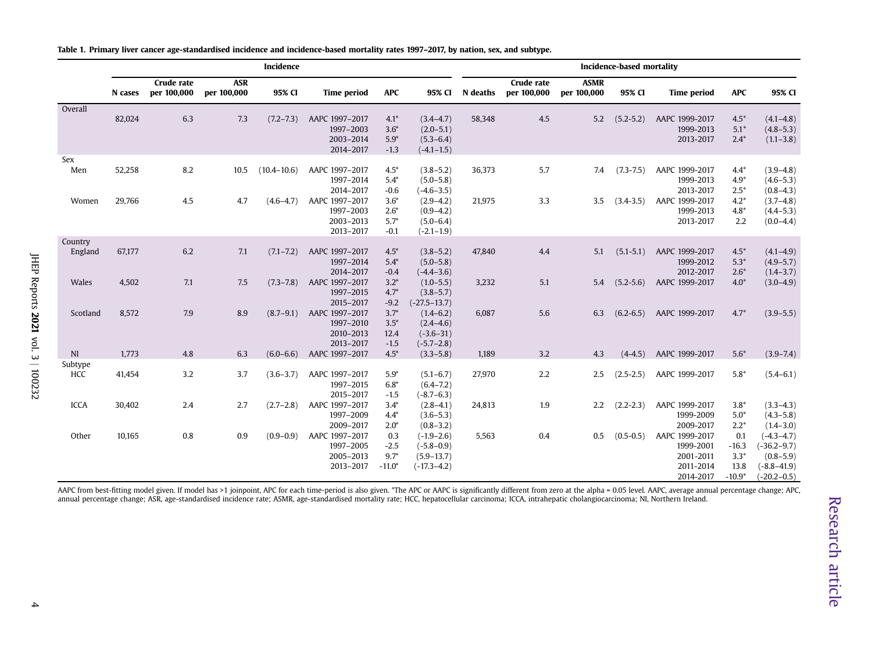<span id="page-4-0"></span>

|                     |                  |                                  |                           | Incidence                        |                                                                                                   |                                                                    |                                                                                                                       |                  |                                  |                            | Incidence-based mortality      |                                                                                      |                                                       |                                                                                                    |
|---------------------|------------------|----------------------------------|---------------------------|----------------------------------|---------------------------------------------------------------------------------------------------|--------------------------------------------------------------------|-----------------------------------------------------------------------------------------------------------------------|------------------|----------------------------------|----------------------------|--------------------------------|--------------------------------------------------------------------------------------|-------------------------------------------------------|----------------------------------------------------------------------------------------------------|
|                     | N cases          | <b>Crude rate</b><br>per 100,000 | <b>ASR</b><br>per 100,000 | 95% CI                           | <b>Time period</b>                                                                                | <b>APC</b>                                                         | 95% CI                                                                                                                | N deaths         | <b>Crude rate</b><br>per 100,000 | <b>ASMR</b><br>per 100,000 | 95% CI                         | <b>Time period</b>                                                                   | <b>APC</b>                                            | 95% CI                                                                                             |
| Overall             | 82,024           | 6.3                              | 7.3                       | $(7.2 - 7.3)$                    | AAPC 1997-2017<br>1997-2003<br>2003-2014<br>2014-2017                                             | $4.1*$<br>$3.6*$<br>$5.9*$<br>$-1.3$                               | $(3.4 - 4.7)$<br>$(2.0 - 5.1)$<br>$(5.3 - 6.4)$<br>$(-4.1 - 1.5)$                                                     | 58,348           | 4.5                              | 5.2                        | $(5.2 - 5.2)$                  | AAPC 1999-2017<br>1999-2013<br>2013-2017                                             | $4.5*$<br>$5.1*$<br>$2.4*$                            | $(4.1 - 4.8)$<br>$(4.8 - 5.3)$<br>$(1.1 - 3.8)$                                                    |
| Sex<br>Men<br>Women | 52,258<br>29,766 | 8.2<br>4.5                       | 10.5<br>4.7               | $(10.4 - 10.6)$<br>$(4.6 - 4.7)$ | AAPC 1997-2017<br>1997-2014<br>2014-2017<br>AAPC 1997-2017<br>1997-2003<br>2003-2013<br>2013-2017 | $4.5*$<br>$5.4*$<br>$-0.6$<br>$3.6*$<br>$2.6*$<br>$5.7*$<br>$-0.1$ | $(3.8 - 5.2)$<br>$(5.0 - 5.8)$<br>$(-4.6 - 3.5)$<br>$(2.9 - 4.2)$<br>$(0.9 - 4.2)$<br>$(5.0 - 6.4)$<br>$(-2.1 - 1.9)$ | 36,373<br>21,975 | 5.7<br>3.3                       | 7.4<br>3.5                 | $(7.3 - 7.5)$<br>$(3.4 - 3.5)$ | AAPC 1999-2017<br>1999-2013<br>2013-2017<br>AAPC 1999-2017<br>1999-2013<br>2013-2017 | $4.4*$<br>$4.9*$<br>$2.5*$<br>$4.2*$<br>$4.8*$<br>2.2 | $(3.9 - 4.8)$<br>$(4.6 - 5.3)$<br>$(0.8 - 4.3)$<br>$(3.7 - 4.8)$<br>$(4.4 - 5.3)$<br>$(0.0 - 4.4)$ |
| Country<br>England  | 67,177           | 6.2                              | 7.1                       | $(7.1 - 7.2)$                    | AAPC 1997-2017<br>1997-2014<br>2014-2017                                                          | $4.5*$<br>$5.4*$<br>$-0.4$                                         | $(3.8 - 5.2)$<br>$(5.0 - 5.8)$<br>$(-4.4 - 3.6)$                                                                      | 47.840           | 4.4                              | 5.1                        | $(5.1 - 5.1)$                  | AAPC 1999-2017<br>1999-2012<br>2012-2017                                             | $4.5*$<br>$5.3*$<br>$2.6*$                            | $(4.1 - 4.9)$<br>$(4.9 - 5.7)$<br>$(1.4 - 3.7)$                                                    |
| Wales               | 4,502            | 7.1                              | 7.5                       | $(7.3 - 7.8)$                    | AAPC 1997-2017<br>1997-2015<br>2015-2017                                                          | $3.2*$<br>$4.7*$<br>$-9.2$                                         | $(1.0 - 5.5)$<br>$(3.8 - 5.7)$<br>$(-27.5 - 13.7)$                                                                    | 3,232            | 5.1                              | 5.4                        | $(5.2 - 5.6)$                  | AAPC 1999-2017                                                                       | $4.0*$                                                | $(3.0 - 4.9)$                                                                                      |
| Scotland            | 8,572            | 7.9                              | 8.9                       | $(8.7 - 9.1)$                    | AAPC 1997-2017<br>1997-2010<br>2010-2013<br>2013-2017                                             | $3.7*$<br>$3.5*$<br>12.4<br>$-1.5$                                 | $(1.4 - 6.2)$<br>$(2.4 - 4.6)$<br>$(-3.6 - 31)$<br>$(-5.7 - 2.8)$                                                     | 6.087            | 5.6                              | 6.3                        | $(6.2 - 6.5)$                  | AAPC 1999-2017                                                                       | $4.7*$                                                | $(3.9 - 5.5)$                                                                                      |
| NI                  | 1,773            | 4.8                              | 6.3                       | $(6.0 - 6.6)$                    | AAPC 1997-2017                                                                                    | $4.5*$                                                             | $(3.3 - 5.8)$                                                                                                         | 1,189            | 3.2                              | 4.3                        | $(4-4.5)$                      | AAPC 1999-2017                                                                       | $5.6*$                                                | $(3.9 - 7.4)$                                                                                      |
| Subtype<br>HCC      | 41,454           | 3.2                              | 3.7                       | $(3.6 - 3.7)$                    | AAPC 1997-2017<br>1997-2015<br>2015-2017                                                          | $5.9*$<br>$6.8*$<br>$-1.5$                                         | $(5.1 - 6.7)$<br>$(6.4 - 7.2)$<br>$(-8.7 - 6.3)$                                                                      | 27,970           | 2.2                              | 2.5                        | $(2.5 - 2.5)$                  | AAPC 1999-2017                                                                       | $5.8*$                                                | $(5.4 - 6.1)$                                                                                      |
| <b>ICCA</b>         | 30,402           | 2.4                              | 2.7                       | $(2.7 - 2.8)$                    | AAPC 1997-2017<br>1997-2009<br>2009-2017                                                          | $3.4*$<br>$4.4*$<br>$2.0*$                                         | $(2.8 - 4.1)$<br>$(3.6 - 5.3)$<br>$(0.8 - 3.2)$                                                                       | 24,813           | 1.9                              | $2.2\phantom{0}$           | $(2.2 - 2.3)$                  | AAPC 1999-2017<br>1999-2009<br>2009-2017                                             | $3.8*$<br>$5.0*$<br>$2.2*$                            | $(3.3-4.3)$<br>$(4.3 - 5.8)$<br>$(1.4 - 3.0)$                                                      |
| Other               | 10,165           | 0.8                              | 0.9                       | $(0.9 - 0.9)$                    | AAPC 1997-2017<br>1997-2005<br>2005-2013<br>2013-2017                                             | 0.3<br>$-2.5$<br>$9.7*$<br>$-11.0*$                                | $(-1.9-2.6)$<br>$(-5.8 - 0.9)$<br>$(5.9 - 13.7)$<br>$(-17.3 - 4.2)$                                                   | 5,563            | 0.4                              | 0.5                        | $(0.5 - 0.5)$                  | AAPC 1999-2017<br>1999-2001<br>2001-2011<br>2011-2014<br>2014-2017                   | 0.1<br>$-16.3$<br>$3.3*$<br>13.8<br>$-10.9*$          | $(-4.3 - 4.7)$<br>$(-36.2 - 9.7)$<br>$(0.8 - 5.9)$<br>$(-8.8 - 41.9)$<br>$(-20.2 - 0.5)$           |

Table 1. Primary liver cancer age-standardised incidence and incidence-based mortality rates 1997–2017, by nation, sex, and subtype.

AAPC from best-fitting model given. If model has >1 joinpoint, APC for each time-period is also given. \*The APC or AAPC is significantly different from zero at the alpha = 0.05 level. AAPC, average annual percentage change annual percentage change; ASR, age-standardised incidence rate; ASMR, age-standardised mortality rate; HCC, hepatocellular carcinoma; ICCA, intrahepatic cholangiocarcinoma; NI, Northern Ireland.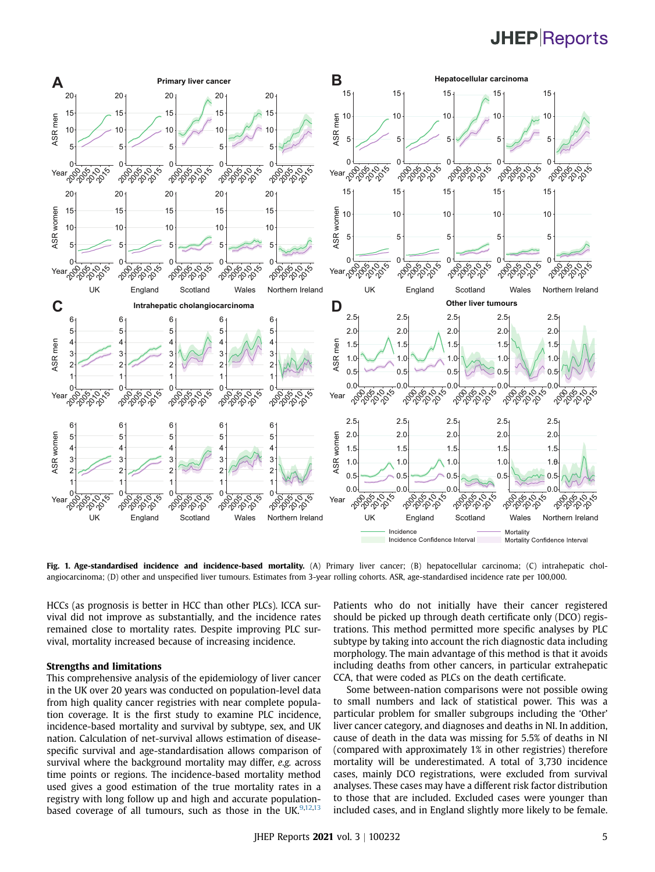# **JHEP** Reports

<span id="page-5-0"></span>

Fig. 1. Age-standardised incidence and incidence-based mortality. (A) Primary liver cancer; (B) hepatocellular carcinoma; (C) intrahepatic cholangiocarcinoma; (D) other and unspecified liver tumours. Estimates from 3-year rolling cohorts. ASR, age-standardised incidence rate per 100,000.

HCCs (as prognosis is better in HCC than other PLCs). ICCA survival did not improve as substantially, and the incidence rates remained close to mortality rates. Despite improving PLC survival, mortality increased because of increasing incidence.

### Strengths and limitations

This comprehensive analysis of the epidemiology of liver cancer in the UK over 20 years was conducted on population-level data from high quality cancer registries with near complete population coverage. It is the first study to examine PLC incidence, incidence-based mortality and survival by subtype, sex, and UK nation. Calculation of net-survival allows estimation of diseasespecific survival and age-standardisation allows comparison of survival where the background mortality may differ, e.g. across time points or regions. The incidence-based mortality method used gives a good estimation of the true mortality rates in a registry with long follow up and high and accurate populationbased coverage of all tumours, such as those in the UK. $9,12,13$  $9,12,13$  $9,12,13$  $9,12,13$ 

Patients who do not initially have their cancer registered should be picked up through death certificate only (DCO) registrations. This method permitted more specific analyses by PLC subtype by taking into account the rich diagnostic data including morphology. The main advantage of this method is that it avoids including deaths from other cancers, in particular extrahepatic CCA, that were coded as PLCs on the death certificate.

Some between-nation comparisons were not possible owing to small numbers and lack of statistical power. This was a particular problem for smaller subgroups including the 'Other' liver cancer category, and diagnoses and deaths in NI. In addition, cause of death in the data was missing for 5.5% of deaths in NI (compared with approximately 1% in other registries) therefore mortality will be underestimated. A total of 3,730 incidence cases, mainly DCO registrations, were excluded from survival analyses. These cases may have a different risk factor distribution to those that are included. Excluded cases were younger than included cases, and in England slightly more likely to be female.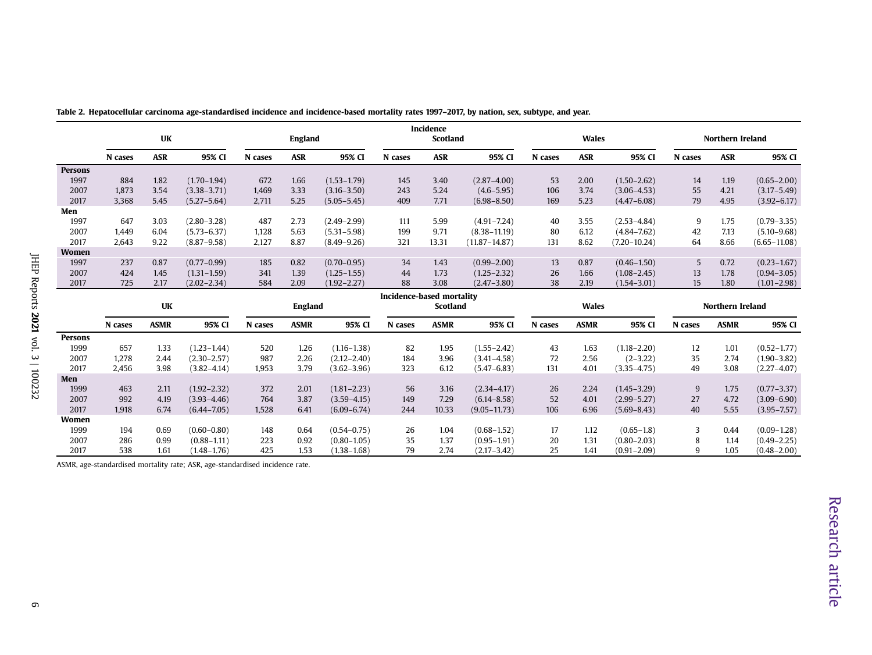|                 |         | <b>UK</b>   |                 |         | <b>England</b> |                 |                           | Incidence<br><b>Scotland</b> |                   |         | <b>Wales</b> |                  |         | Northern Ireland        |                  |
|-----------------|---------|-------------|-----------------|---------|----------------|-----------------|---------------------------|------------------------------|-------------------|---------|--------------|------------------|---------|-------------------------|------------------|
|                 | N cases | <b>ASR</b>  | 95% CI          | N cases | <b>ASR</b>     | 95% CI          | N cases                   | <b>ASR</b>                   | 95% CI            | N cases | <b>ASR</b>   | 95% CI           | N cases | <b>ASR</b>              | 95% CI           |
| <b>Persons</b>  |         |             |                 |         |                |                 |                           |                              |                   |         |              |                  |         |                         |                  |
| 1997            | 884     | 1.82        | $(1.70 - 1.94)$ | 672     | 1.66           | $(1.53 - 1.79)$ | 145                       | 3.40                         | $(2.87 - 4.00)$   | 53      | 2.00         | $(1.50 - 2.62)$  | 14      | 1.19                    | $(0.65 - 2.00)$  |
| 2007            | 1.873   | 3.54        | $(3.38 - 3.71)$ | 1,469   | 3.33           | $(3.16 - 3.50)$ | 243                       | 5.24                         | $(4.6 - 5.95)$    | 106     | 3.74         | $(3.06 - 4.53)$  | 55      | 4.21                    | $(3.17 - 5.49)$  |
| 2017            | 3,368   | 5.45        | $(5.27 - 5.64)$ | 2,711   | 5.25           | $(5.05 - 5.45)$ | 409                       | 7.71                         | $(6.98 - 8.50)$   | 169     | 5.23         | $(4.47 - 6.08)$  | 79      | 4.95                    | $(3.92 - 6.17)$  |
| Men             |         |             |                 |         |                |                 |                           |                              |                   |         |              |                  |         |                         |                  |
| 1997            | 647     | 3.03        | $(2.80 - 3.28)$ | 487     | 2.73           | $(2.49 - 2.99)$ | 111                       | 5.99                         | $(4.91 - 7.24)$   | 40      | 3.55         | $(2.53 - 4.84)$  | 9       | 1.75                    | $(0.79 - 3.35)$  |
| 2007            | 1,449   | 6.04        | $(5.73 - 6.37)$ | 1,128   | 5.63           | $(5.31 - 5.98)$ | 199                       | 9.71                         | $(8.38 - 11.19)$  | 80      | 6.12         | $(4.84 - 7.62)$  | 42      | 7.13                    | $(5.10 - 9.68)$  |
| 2017            | 2,643   | 9.22        | $(8.87 - 9.58)$ | 2,127   | 8.87           | $(8.49 - 9.26)$ | 321                       | 13.31                        | $(11.87 - 14.87)$ | 131     | 8.62         | $(7.20 - 10.24)$ | 64      | 8.66                    | $(6.65 - 11.08)$ |
| Women           |         |             |                 |         |                |                 |                           |                              |                   |         |              |                  |         |                         |                  |
| 1997            | 237     | 0.87        | $(0.77 - 0.99)$ | 185     | 0.82           | $(0.70 - 0.95)$ | 34                        | 1.43                         | $(0.99 - 2.00)$   | 13      | 0.87         | $(0.46 - 1.50)$  | 5       | 0.72                    | $(0.23 - 1.67)$  |
| 2007            | 424     | 1.45        | $(1.31 - 1.59)$ | 341     | 1.39           | $(1.25 - 1.55)$ | 44                        | 1.73                         | $(1.25 - 2.32)$   | 26      | 1.66         | $(1.08 - 2.45)$  | 13      | 1.78                    | $(0.94 - 3.05)$  |
| 2017            | 725     | 2.17        | $(2.02 - 2.34)$ | 584     | 2.09           | $(1.92 - 2.27)$ | 88                        | 3.08                         | $(2.47 - 3.80)$   | 38      | 2.19         | $(1.54 - 3.01)$  | 15      | 1.80                    | $(1.01 - 2.98)$  |
|                 |         |             |                 |         |                |                 |                           |                              |                   |         |              |                  |         |                         |                  |
|                 |         |             |                 |         |                |                 | Incidence-based mortality |                              |                   |         |              |                  |         |                         |                  |
|                 |         | <b>UK</b>   |                 |         | <b>England</b> |                 |                           | Scotland                     |                   |         | <b>Wales</b> |                  |         | <b>Northern Ireland</b> |                  |
|                 | N cases | <b>ASMR</b> | 95% CI          | N cases | <b>ASMR</b>    | 95% CI          | N cases                   | <b>ASMR</b>                  | 95% CI            | N cases | <b>ASMR</b>  | 95% CI           | N cases | <b>ASMR</b>             | 95% CI           |
|                 |         |             |                 |         |                |                 |                           |                              |                   |         |              |                  |         |                         |                  |
| Persons<br>1999 | 657     | 1.33        | $(1.23 - 1.44)$ | 520     | 1.26           | $(1.16 - 1.38)$ | 82                        | 1.95                         | $(1.55 - 2.42)$   | 43      | 1.63         | $(1.18 - 2.20)$  | 12      | 1.01                    | $(0.52 - 1.77)$  |
| 2007            | 1,278   | 2.44        | $(2.30 - 2.57)$ | 987     | 2.26           | $(2.12 - 2.40)$ | 184                       | 3.96                         | $(3.41 - 4.58)$   | 72      | 2.56         | $(2 - 3.22)$     | 35      | 2.74                    | $(1.90 - 3.82)$  |
| 2017            | 2,456   | 3.98        | $(3.82 - 4.14)$ | 1,953   | 3.79           | $(3.62 - 3.96)$ | 323                       | 6.12                         | $(5.47 - 6.83)$   | 131     | 4.01         | $(3.35 - 4.75)$  | 49      | 3.08                    | $(2.27 - 4.07)$  |
| Men             |         |             |                 |         |                |                 |                           |                              |                   |         |              |                  |         |                         |                  |
| 1999            | 463     | 2.11        | $(1.92 - 2.32)$ | 372     | 2.01           | $(1.81 - 2.23)$ | 56                        | 3.16                         | $(2.34 - 4.17)$   | 26      | 2.24         | $(1.45 - 3.29)$  | 9       | 1.75                    | $(0.77 - 3.37)$  |
| 2007            | 992     | 4.19        | $(3.93 - 4.46)$ | 764     | 3.87           | $(3.59 - 4.15)$ | 149                       | 7.29                         | $(6.14 - 8.58)$   | 52      | 4.01         | $(2.99 - 5.27)$  | 27      | 4.72                    | $(3.09 - 6.90)$  |
| 2017            | 1,918   | 6.74        | $(6.44 - 7.05)$ | 1,528   | 6.41           | $(6.09 - 6.74)$ | 244                       | 10.33                        | $(9.05 - 11.73)$  | 106     | 6.96         | $(5.69 - 8.43)$  | 40      | 5.55                    | $(3.95 - 7.57)$  |
| Women           |         |             |                 |         |                |                 |                           |                              |                   |         |              |                  |         |                         |                  |
| 1999            | 194     | 0.69        | $(0.60 - 0.80)$ | 148     | 0.64           | $(0.54 - 0.75)$ | 26                        | 1.04                         | $(0.68 - 1.52)$   | 17      | 1.12         | $(0.65 - 1.8)$   | 3       | 0.44                    | $(0.09 - 1.28)$  |
| 2007            | 286     | 0.99        | $(0.88 - 1.11)$ | 223     | 0.92           | $(0.80 - 1.05)$ | 35                        | 1.37                         | $(0.95 - 1.91)$   | 20      | 1.31         | $(0.80 - 2.03)$  | 8       | 1.14                    | $(0.49 - 2.25)$  |

<span id="page-6-0"></span>Table 2. Hepatocellular carcinoma age-standardised incidence and incidence-based mortality rates 1997–2017, by nation, sex, subtype, and year.

ASMR, age-standardised mortality rate; ASR, age-standardised incidence rate.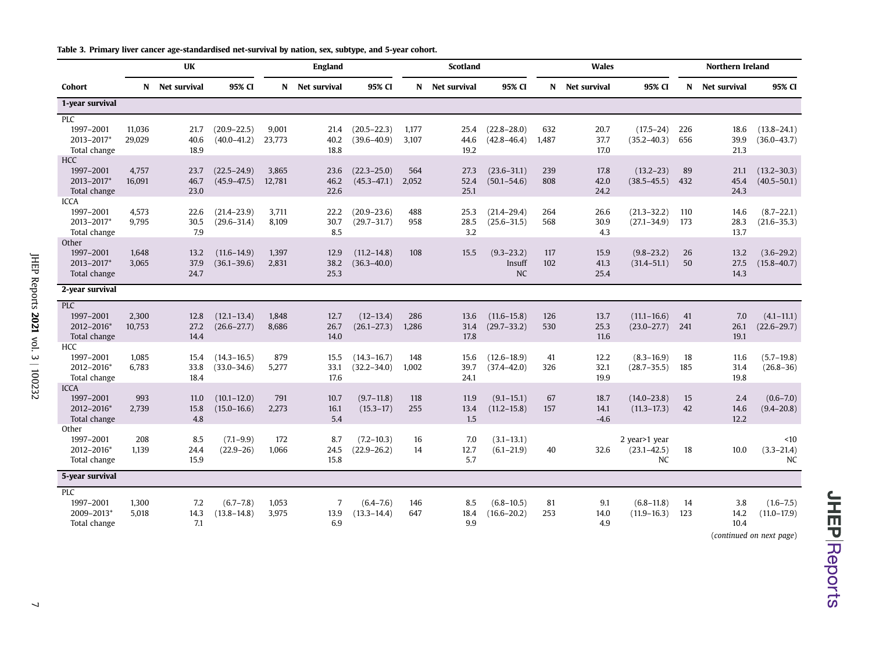|  | Table 3. Primary liver cancer age-standardised net-survival by nation, sex, subtype, and 5-year cohort. |  |  |  |  |  |  |  |  |  |  |  |  |  |  |
|--|---------------------------------------------------------------------------------------------------------|--|--|--|--|--|--|--|--|--|--|--|--|--|--|
|--|---------------------------------------------------------------------------------------------------------|--|--|--|--|--|--|--|--|--|--|--|--|--|--|

<span id="page-7-0"></span>

|                                                        |                  | <b>UK</b>            |                                    |                 | <b>England</b>                |                                    |                | <b>Scotland</b>      |                                       |              | <b>Wales</b>           |                                               |            | Northern Ireland     |                                                              |
|--------------------------------------------------------|------------------|----------------------|------------------------------------|-----------------|-------------------------------|------------------------------------|----------------|----------------------|---------------------------------------|--------------|------------------------|-----------------------------------------------|------------|----------------------|--------------------------------------------------------------|
| Cohort                                                 | N.               | Net survival         | 95% CI                             |                 | N Net survival                | 95% CI                             | N              | Net survival         | 95% CI                                |              | N Net survival         | 95% CI                                        | N          | Net survival         | 95% CI                                                       |
| 1-year survival                                        |                  |                      |                                    |                 |                               |                                    |                |                      |                                       |              |                        |                                               |            |                      |                                                              |
| PLC<br>1997-2001<br>2013-2017*                         | 11,036<br>29,029 | 21.7<br>40.6         | $(20.9 - 22.5)$<br>$(40.0 - 41.2)$ | 9,001<br>23,773 | 21.4<br>40.2                  | $(20.5 - 22.3)$<br>$(39.6 - 40.9)$ | 1,177<br>3,107 | 25.4<br>44.6         | $(22.8 - 28.0)$<br>$(42.8 - 46.4)$    | 632<br>1,487 | 20.7<br>37.7           | $(17.5 - 24)$<br>$(35.2 - 40.3)$              | 226<br>656 | 18.6<br>39.9         | $(13.8 - 24.1)$<br>$(36.0 - 43.7)$                           |
| Total change                                           |                  | 18.9                 |                                    |                 | 18.8                          |                                    |                | 19.2                 |                                       |              | 17.0                   |                                               |            | 21.3                 |                                                              |
| <b>HCC</b>                                             |                  |                      |                                    |                 |                               |                                    |                |                      |                                       |              |                        |                                               |            |                      |                                                              |
| 1997-2001<br>2013-2017*<br>Total change                | 4,757<br>16,091  | 23.7<br>46.7<br>23.0 | $(22.5 - 24.9)$<br>$(45.9 - 47.5)$ | 3.865<br>12,781 | 23.6<br>46.2<br>22.6          | $(22.3 - 25.0)$<br>$(45.3 - 47.1)$ | 564<br>2,052   | 27.3<br>52.4<br>25.1 | $(23.6 - 31.1)$<br>$(50.1 - 54.6)$    | 239<br>808   | 17.8<br>42.0<br>24.2   | $(13.2 - 23)$<br>$(38.5 - 45.5)$              | 89<br>432  | 21.1<br>45.4<br>24.3 | $(13.2 - 30.3)$<br>$(40.5 - 50.1)$                           |
| <b>ICCA</b>                                            |                  |                      |                                    |                 |                               |                                    |                |                      |                                       |              |                        |                                               |            |                      |                                                              |
| 1997-2001<br>2013-2017*<br>Total change                | 4,573<br>9,795   | 22.6<br>30.5<br>7.9  | $(21.4 - 23.9)$<br>$(29.6 - 31.4)$ | 3,711<br>8,109  | 22.2<br>30.7<br>8.5           | $(20.9 - 23.6)$<br>$(29.7 - 31.7)$ | 488<br>958     | 25.3<br>28.5<br>3.2  | $(21.4 - 29.4)$<br>$(25.6 - 31.5)$    | 264<br>568   | 26.6<br>30.9<br>4.3    | $(21.3 - 32.2)$<br>$(27.1 - 34.9)$            | 110<br>173 | 14.6<br>28.3<br>13.7 | $(8.7 - 22.1)$<br>$(21.6 - 35.3)$                            |
| Other<br>1997-2001<br>2013-2017*<br>Total change       | 1,648<br>3,065   | 13.2<br>37.9<br>24.7 | $(11.6 - 14.9)$<br>$(36.1 - 39.6)$ | 1,397<br>2,831  | 12.9<br>38.2<br>25.3          | $(11.2 - 14.8)$<br>$(36.3 - 40.0)$ | 108            | 15.5                 | $(9.3 - 23.2)$<br>Insuff<br><b>NC</b> | 117<br>102   | 15.9<br>41.3<br>25.4   | $(9.8 - 23.2)$<br>$(31.4 - 51.1)$             | 26<br>50   | 13.2<br>27.5<br>14.3 | $(3.6 - 29.2)$<br>$(15.8 - 40.7)$                            |
| 2-year survival                                        |                  |                      |                                    |                 |                               |                                    |                |                      |                                       |              |                        |                                               |            |                      |                                                              |
| PLC<br>1997-2001<br>2012-2016*<br>Total change         | 2,300<br>10,753  | 12.8<br>27.2<br>14.4 | $(12.1 - 13.4)$<br>$(26.6 - 27.7)$ | 1,848<br>8.686  | 12.7<br>26.7<br>14.0          | $(12-13.4)$<br>$(26.1 - 27.3)$     | 286<br>1,286   | 13.6<br>31.4<br>17.8 | $(11.6 - 15.8)$<br>$(29.7 - 33.2)$    | 126<br>530   | 13.7<br>25.3<br>11.6   | $(11.1 - 16.6)$<br>$(23.0 - 27.7)$            | 41<br>241  | 7.0<br>26.1<br>19.1  | $(4.1 - 11.1)$<br>$(22.6 - 29.7)$                            |
| HCC<br>1997-2001<br>2012-2016*<br>Total change         | 1,085<br>6,783   | 15.4<br>33.8<br>18.4 | $(14.3 - 16.5)$<br>$(33.0 - 34.6)$ | 879<br>5,277    | 15.5<br>33.1<br>17.6          | $(14.3 - 16.7)$<br>$(32.2 - 34.0)$ | 148<br>1,002   | 15.6<br>39.7<br>24.1 | $(12.6 - 18.9)$<br>$(37.4 - 42.0)$    | 41<br>326    | 12.2<br>32.1<br>19.9   | $(8.3 - 16.9)$<br>$(28.7 - 35.5)$             | 18<br>185  | 11.6<br>31.4<br>19.8 | $(5.7 - 19.8)$<br>$(26.8 - 36)$                              |
| <b>ICCA</b><br>1997-2001<br>2012-2016*<br>Total change | 993<br>2,739     | 11.0<br>15.8<br>4.8  | $(10.1 - 12.0)$<br>$(15.0 - 16.6)$ | 791<br>2,273    | 10.7<br>16.1<br>5.4           | $(9.7 - 11.8)$<br>$(15.3 - 17)$    | 118<br>255     | 11.9<br>13.4<br>1.5  | $(9.1 - 15.1)$<br>$(11.2 - 15.8)$     | 67<br>157    | 18.7<br>14.1<br>$-4.6$ | $(14.0 - 23.8)$<br>$(11.3 - 17.3)$            | 15<br>42   | 2.4<br>14.6<br>12.2  | $(0.6 - 7.0)$<br>$(9.4 - 20.8)$                              |
| Other<br>1997-2001<br>2012-2016*<br>Total change       | 208<br>1,139     | 8.5<br>24.4<br>15.9  | $(7.1 - 9.9)$<br>$(22.9 - 26)$     | 172<br>1,066    | 8.7<br>24.5<br>15.8           | $(7.2 - 10.3)$<br>$(22.9 - 26.2)$  | 16<br>14       | 7.0<br>12.7<br>5.7   | $(3.1 - 13.1)$<br>$(6.1 - 21.9)$      | 40           | 32.6                   | 2 year>1 year<br>$(23.1 - 42.5)$<br><b>NC</b> | 18         | 10.0                 | < 10<br>$(3.3 - 21.4)$<br>NC                                 |
| 5-year survival                                        |                  |                      |                                    |                 |                               |                                    |                |                      |                                       |              |                        |                                               |            |                      |                                                              |
| PLC<br>1997-2001<br>2009-2013*<br>Total change         | 1,300<br>5,018   | 7.2<br>14.3<br>7.1   | $(6.7 - 7.8)$<br>$(13.8 - 14.8)$   | 1,053<br>3,975  | $\overline{7}$<br>13.9<br>6.9 | $(6.4 - 7.6)$<br>$(13.3 - 14.4)$   | 146<br>647     | 8.5<br>18.4<br>9.9   | $(6.8 - 10.5)$<br>$(16.6 - 20.2)$     | 81<br>253    | 9.1<br>14.0<br>4.9     | $(6.8 - 11.8)$<br>$(11.9 - 16.3)$             | 14<br>123  | 3.8<br>14.2<br>10.4  | $(1.6 - 7.5)$<br>$(11.0 - 17.9)$<br>(continued on next page) |

**JHEP** Reports

JHEP Reports 2021 vol. 3 | 100232 JHEP Reports **2021** vol. 3 | 100232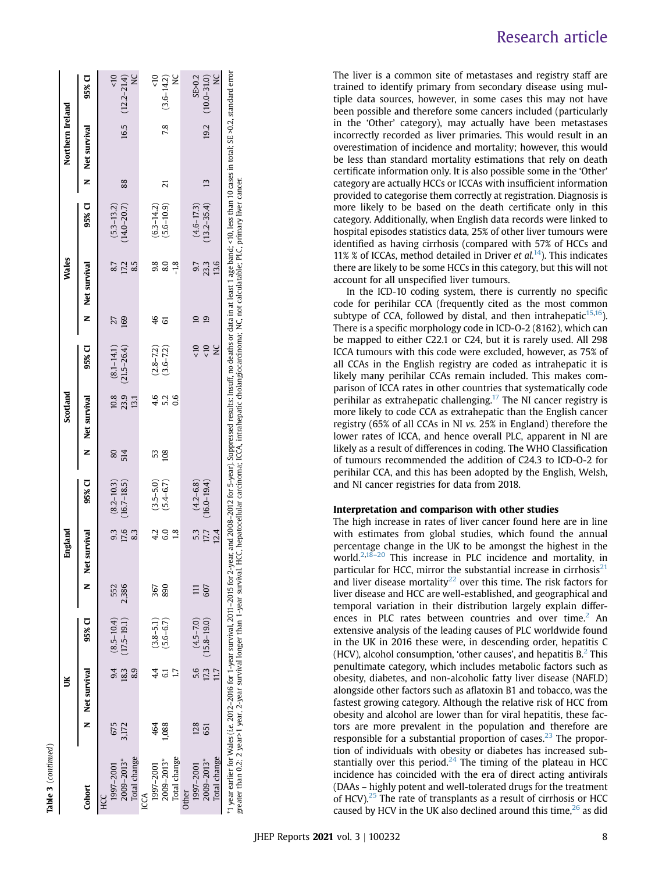| ı<br>t |
|--------|
|        |
|        |
|        |
|        |
|        |
|        |
|        |
|        |
|        |
|        |
|        |
|        |
|        |
|        |
|        |
|        |
|        |
|        |
|        |
|        |
|        |
|        |
|        |

|                                                                                                                                                                                                                                                                                                                             |       |                |                      |       | England                |                 |     | Scotland      |                     |              | <b>Wales</b>                                                                                                        |                 |                 | Northern Ireland |                      |
|-----------------------------------------------------------------------------------------------------------------------------------------------------------------------------------------------------------------------------------------------------------------------------------------------------------------------------|-------|----------------|----------------------|-------|------------------------|-----------------|-----|---------------|---------------------|--------------|---------------------------------------------------------------------------------------------------------------------|-----------------|-----------------|------------------|----------------------|
| Cohort                                                                                                                                                                                                                                                                                                                      |       | N Net survival | 95% CI               | Z     | survival<br><b>Net</b> | 95% CI          | Z   | Net survival  | 95% CI              | Z            | Net survival                                                                                                        | 95% CI          |                 | Net survival     | 95% CI               |
|                                                                                                                                                                                                                                                                                                                             |       |                |                      |       |                        |                 |     |               |                     |              |                                                                                                                     |                 |                 |                  |                      |
| 1997-2001                                                                                                                                                                                                                                                                                                                   | 675   |                | $(8.5 - 10.4)$       | 552   |                        | $(8.2 - 10.3)$  | 80  |               | $10.8$ $(8.1-14.1)$ | 27           | 8.7                                                                                                                 | $(5.3 - 13.2)$  |                 |                  | 5 <sub>0</sub>       |
| 2009-2013*                                                                                                                                                                                                                                                                                                                  | 3,172 | 18.3           | $(17.5 - 19.1)$      | 2,386 | 17.6                   | $(16.7 - 18.5)$ | 514 | 23.9          | $(21.5 - 26.4)$     | 169          | 172                                                                                                                 | $(14.0 - 20.7)$ | 88              |                  | $16.5$ $(12.2-21.4)$ |
| Total change                                                                                                                                                                                                                                                                                                                |       |                |                      |       | 83                     |                 |     | 13.1          |                     |              | 8.5                                                                                                                 |                 |                 |                  | ¥                    |
| LCA                                                                                                                                                                                                                                                                                                                         |       |                |                      |       |                        |                 |     |               |                     |              |                                                                                                                     |                 |                 |                  |                      |
| 1997-2001                                                                                                                                                                                                                                                                                                                   | 464   |                | $(3.8 - 5.1)$        | 367   |                        | $(3.5 - 5.0)$   | S   | 4.6           | $(2.8 - 7.2)$       | 46           | 9.8                                                                                                                 | $(6.3 - 14.2)$  |                 |                  | $\frac{1}{2}$        |
| 2009-2013*                                                                                                                                                                                                                                                                                                                  | ,088  |                | $(5.6 - 6.7)$        | 890   | G.O                    | $(5.4 - 6.7)$   | 108 | 5.2           | $(3.6 - 7.2)$       | 5            | 8.0                                                                                                                 | $(5.6 - 10.9)$  | ដ               | 7.8              | $(3.6 - 14.2)$       |
| Total change                                                                                                                                                                                                                                                                                                                |       |                |                      |       |                        |                 |     | $\frac{6}{5}$ |                     |              | $-18$                                                                                                               |                 |                 |                  | ¥                    |
| <b>Other</b>                                                                                                                                                                                                                                                                                                                |       |                |                      |       |                        |                 |     |               |                     |              |                                                                                                                     |                 |                 |                  |                      |
| 1997-2001                                                                                                                                                                                                                                                                                                                   | 128   |                | $(4.5 - 7.0)$        |       |                        | $(4.2 - 6.8)$   |     |               | $\leq 10$           |              | 9.7                                                                                                                 | $(4.6 - 17.3)$  |                 |                  | SE>0.2               |
| 2009-2013*                                                                                                                                                                                                                                                                                                                  | 651   |                | $17.3$ $(15.8-19.0)$ | 607   | 17.7                   | $(16.0 - 19.4)$ |     |               | 10                  | $\mathbf{D}$ | 23.3                                                                                                                | $13.2 - 35.4$   | $\overline{13}$ | 19.2             | $(10.0 - 31.0)$      |
| Total change                                                                                                                                                                                                                                                                                                                |       |                |                      |       | 12.4                   |                 |     |               | $\geq$              |              | 13.6                                                                                                                |                 |                 |                  | $\geq$               |
| <sup>*1</sup> year earlier for Wales (i.e. 2012-2016 for 1-year survival, 2011-2015 for 2-year, and 2008-2012 for 5-year). Suppressed results: Insuff, no deaths or data in at least 1 age band; <10, less than 10 cases in total; SE ><br>greater than 0.2; 2 year>1 year, 2-year survival longer than 1-year survival. HC |       |                |                      |       |                        |                 |     |               |                     |              | C, hepatocellular carcinoma; ICCA, intrahepatic cholangiocarcinoma; NC, not calculatable; PLC, primary liver cancer |                 |                 |                  |                      |

Research article

The liver is a common site of metastases and registry staff are trained to identify primary from secondary disease using multiple data sources, however, in some cases this may not have been possible and therefore some cancers included (particularly in the 'Other' category), may actually have been metastases incorrectly recorded as liver primaries. This would result in an overestimation of incidence and mortality; however, this would be less than standard mortality estimations that rely on death certificate information only. It is also possible some in the 'Other' category are actually HCCs or ICCAs with insufficient information provided to categorise them correctly at registration. Diagnosis is more likely to be based on the death certificate only in this category. Additionally, when English data records were linked to hospital episodes statistics data, 25% of other liver tumours were identified as having cirrhosis (compared with 57% of HCCs and 11% % of ICCAs, method detailed in Driver *et al.*<sup>[14](#page-11-0)</sup>). This indicates there are likely to be some HCCs in this category, but this will not account for all unspecified liver tumours.

In the ICD-10 coding system, there is currently no specific code for perihilar CCA (frequently cited as the most common subtype of CCA, followed by distal, and then intrahepatic $15,16$  $15,16$ ). There is a specific morphology code in ICD-O-2 (8162), which can be mapped to either C22.1 or C24, but it is rarely used. All 298 ICCA tumours with this code were excluded, however, as 75% of all CCAs in the English registry are coded as intrahepatic it is likely many perihilar CCAs remain included. This makes comparison of ICCA rates in other countries that systematically code perihilar as extrahepatic challenging.[17](#page-11-3) The NI cancer registry is more likely to code CCA as extrahepatic than the English cancer registry (65% of all CCAs in NI vs. 25% in England) therefore the lower rates of ICCA, and hence overall PLC, apparent in NI are likely as a result of differences in coding. The WHO Classification of tumours recommended the addition of C24.3 to ICD-O-2 for perihilar CCA, and this has been adopted by the English, Welsh, and NI cancer registries for data from 2018.

### Interpretation and comparison with other studies

The high increase in rates of liver cancer found here are in line with estimates from global studies, which found the annual percentage change in the UK to be amongst the highest in the world.<sup>[2,](#page-10-1)18-[20](#page-11-4)</sup> This increase in PLC incidence and mortality, in particular for HCC, mirror the substantial increase in cirrhosis $^{21}$  $^{21}$  $^{21}$ and liver disease mortality<sup>[22](#page-11-6)</sup> over this time. The risk factors for liver disease and HCC are well-established, and geographical and temporal variation in their distribution largely explain differ-ences in PLC rates between countries and over time.<sup>[2](#page-10-1)</sup> An extensive analysis of the leading causes of PLC worldwide found in the UK in 2016 these were, in descending order, hepatitis C (HCV), alcohol consumption, 'other causes', and hepatitis  $B<sup>2</sup>$  $B<sup>2</sup>$  $B<sup>2</sup>$ . This penultimate category, which includes metabolic factors such as obesity, diabetes, and non-alcoholic fatty liver disease (NAFLD) alongside other factors such as aflatoxin B1 and tobacco, was the fastest growing category. Although the relative risk of HCC from obesity and alcohol are lower than for viral hepatitis, these factors are more prevalent in the population and therefore are responsible for a substantial proportion of cases.<sup>[23](#page-11-7)</sup> The proportion of individuals with obesity or diabetes has increased sub-stantially over this period.<sup>[24](#page-11-8)</sup> The timing of the plateau in HCC incidence has coincided with the era of direct acting antivirals (DAAs – highly potent and well-tolerated drugs for the treatment of HCV). $25$  The rate of transplants as a result of cirrhosis or HCC caused by HCV in the UK also declined around this time,  $26$  as did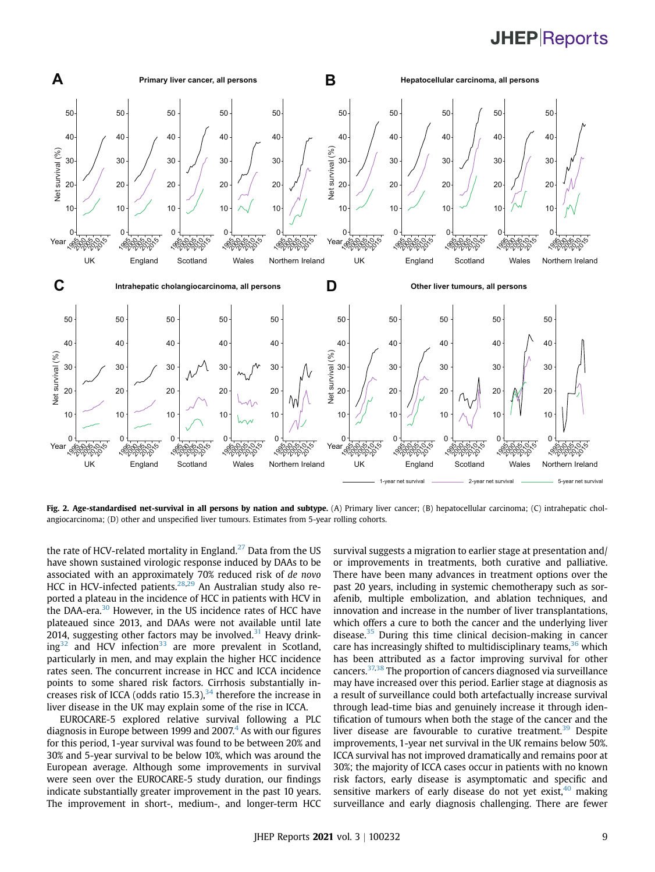# **JHEP**Reports

<span id="page-9-0"></span>

Fig. 2. Age-standardised net-survival in all persons by nation and subtype. (A) Primary liver cancer; (B) hepatocellular carcinoma; (C) intrahepatic cholangiocarcinoma; (D) other and unspecified liver tumours. Estimates from 5-year rolling cohorts.

the rate of HCV-related mortality in England.<sup>[27](#page-11-11)</sup> Data from the US have shown sustained virologic response induced by DAAs to be associated with an approximately 70% reduced risk of de novo HCC in HCV-infected patients.<sup>[28,](#page-11-12)[29](#page-11-13)</sup> An Australian study also reported a plateau in the incidence of HCC in patients with HCV in the DAA-era.<sup>[30](#page-11-14)</sup> However, in the US incidence rates of HCC have plateaued since 2013, and DAAs were not available until late 2014, suggesting other factors may be involved. Heavy drink- $ing^{32}$  $ing^{32}$  $ing^{32}$  and HCV infection<sup>[33](#page-11-17)</sup> are more prevalent in Scotland, particularly in men, and may explain the higher HCC incidence rates seen. The concurrent increase in HCC and ICCA incidence points to some shared risk factors. Cirrhosis substantially increases risk of ICCA (odds ratio 15.3), therefore the increase in liver disease in the UK may explain some of the rise in ICCA.

EUROCARE-5 explored relative survival following a PLC diagnosis in Europe between 1999 and  $2007<sup>4</sup>$  As with our figures for this period, 1-year survival was found to be between 20% and 30% and 5-year survival to be below 10%, which was around the European average. Although some improvements in survival were seen over the EUROCARE-5 study duration, our findings indicate substantially greater improvement in the past 10 years. The improvement in short-, medium-, and longer-term HCC

survival suggests a migration to earlier stage at presentation and/ or improvements in treatments, both curative and palliative. There have been many advances in treatment options over the past 20 years, including in systemic chemotherapy such as sorafenib, multiple embolization, and ablation techniques, and innovation and increase in the number of liver transplantations, which offers a cure to both the cancer and the underlying liver disease. During this time clinical decision-making in cancer care has increasingly shifted to multidisciplinary teams, which has been attributed as a factor improving survival for other cancers.[37,](#page-11-21)[38](#page-11-22) The proportion of cancers diagnosed via surveillance may have increased over this period. Earlier stage at diagnosis as a result of surveillance could both artefactually increase survival through lead-time bias and genuinely increase it through identification of tumours when both the stage of the cancer and the liver disease are favourable to curative treatment.<sup>39</sup> Despite improvements, 1-year net survival in the UK remains below 50%. ICCA survival has not improved dramatically and remains poor at 30%; the majority of ICCA cases occur in patients with no known risk factors, early disease is asymptomatic and specific and sensitive markers of early disease do not yet exist, making surveillance and early diagnosis challenging. There are fewer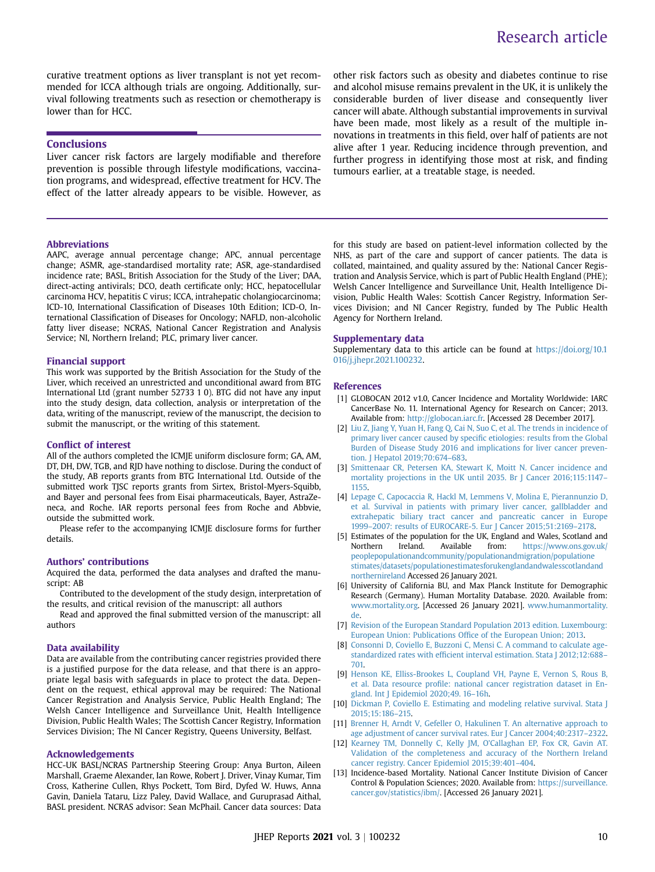# Research article

curative treatment options as liver transplant is not yet recommended for ICCA although trials are ongoing. Additionally, survival following treatments such as resection or chemotherapy is lower than for HCC.

#### **Conclusions**

Liver cancer risk factors are largely modifiable and therefore prevention is possible through lifestyle modifications, vaccination programs, and widespread, effective treatment for HCV. The effect of the latter already appears to be visible. However, as

#### Abbreviations

AAPC, average annual percentage change; APC, annual percentage change; ASMR, age-standardised mortality rate; ASR, age-standardised incidence rate; BASL, British Association for the Study of the Liver; DAA, direct-acting antivirals; DCO, death certificate only; HCC, hepatocellular carcinoma HCV, hepatitis C virus; ICCA, intrahepatic cholangiocarcinoma; ICD-10, International Classification of Diseases 10th Edition; ICD-O, International Classification of Diseases for Oncology; NAFLD, non-alcoholic fatty liver disease; NCRAS, National Cancer Registration and Analysis Service; NI, Northern Ireland; PLC, primary liver cancer.

#### Financial support

This work was supported by the British Association for the Study of the Liver, which received an unrestricted and unconditional award from BTG International Ltd (grant number 52733 1 0). BTG did not have any input into the study design, data collection, analysis or interpretation of the data, writing of the manuscript, review of the manuscript, the decision to submit the manuscript, or the writing of this statement.

#### Conflict of interest

All of the authors completed the ICMJE uniform disclosure form; GA, AM, DT, DH, DW, TGB, and RJD have nothing to disclose. During the conduct of the study, AB reports grants from BTG International Ltd. Outside of the submitted work TJSC reports grants from Sirtex, Bristol-Myers-Squibb, and Bayer and personal fees from Eisai pharmaceuticals, Bayer, AstraZeneca, and Roche. IAR reports personal fees from Roche and Abbvie, outside the submitted work.

Please refer to the accompanying ICMJE disclosure forms for further details.

#### Authors' contributions

Acquired the data, performed the data analyses and drafted the manuscript: AB

Contributed to the development of the study design, interpretation of the results, and critical revision of the manuscript: all authors

Read and approved the final submitted version of the manuscript: all authors

#### Data availability

Data are available from the contributing cancer registries provided there is a justified purpose for the data release, and that there is an appropriate legal basis with safeguards in place to protect the data. Dependent on the request, ethical approval may be required: The National Cancer Registration and Analysis Service, Public Health England; The Welsh Cancer Intelligence and Surveillance Unit, Health Intelligence Division, Public Health Wales; The Scottish Cancer Registry, Information Services Division; The NI Cancer Registry, Queens University, Belfast.

#### Acknowledgements

HCC-UK BASL/NCRAS Partnership Steering Group: Anya Burton, Aileen Marshall, Graeme Alexander, Ian Rowe, Robert J. Driver, Vinay Kumar, Tim Cross, Katherine Cullen, Rhys Pockett, Tom Bird, Dyfed W. Huws, Anna Gavin, Daniela Tataru, Lizz Paley, David Wallace, and Guruprasad Aithal, BASL president. NCRAS advisor: Sean McPhail. Cancer data sources: Data

other risk factors such as obesity and diabetes continue to rise and alcohol misuse remains prevalent in the UK, it is unlikely the considerable burden of liver disease and consequently liver cancer will abate. Although substantial improvements in survival have been made, most likely as a result of the multiple innovations in treatments in this field, over half of patients are not alive after 1 year. Reducing incidence through prevention, and further progress in identifying those most at risk, and finding tumours earlier, at a treatable stage, is needed.

for this study are based on patient-level information collected by the NHS, as part of the care and support of cancer patients. The data is collated, maintained, and quality assured by the: National Cancer Registration and Analysis Service, which is part of Public Health England (PHE); Welsh Cancer Intelligence and Surveillance Unit, Health Intelligence Division, Public Health Wales: Scottish Cancer Registry, Information Services Division; and NI Cancer Registry, funded by The Public Health Agency for Northern Ireland.

#### Supplementary data

Supplementary data to this article can be found at [https://doi.org/10.1](https://doi.org/10.1016/j.jhepr.2021.100232) [016/j.jhepr.2021.100232](https://doi.org/10.1016/j.jhepr.2021.100232).

#### References

- <span id="page-10-0"></span>[1] GLOBOCAN 2012 v1.0, Cancer Incidence and Mortality Worldwide: IARC CancerBase No. 11. International Agency for Research on Cancer; 2013. Available from: [http://globocan.iarc.fr.](http://globocan.iarc.fr) [Accessed 28 December 2017].
- <span id="page-10-1"></span>[2] [Liu Z, Jiang Y, Yuan H, Fang Q, Cai N, Suo C, et al. The trends in incidence of](http://refhub.elsevier.com/S2589-5559(21)00008-2/sref2) [primary liver cancer caused by speci](http://refhub.elsevier.com/S2589-5559(21)00008-2/sref2)fic etiologies: results from the Global [Burden of Disease Study 2016 and implications for liver cancer preven](http://refhub.elsevier.com/S2589-5559(21)00008-2/sref2)[tion. J Hepatol 2019;70:674](http://refhub.elsevier.com/S2589-5559(21)00008-2/sref2)–683.
- <span id="page-10-2"></span>[3] [Smittenaar CR, Petersen KA, Stewart K, Moitt N. Cancer incidence and](http://refhub.elsevier.com/S2589-5559(21)00008-2/sref3) [mortality projections in the UK until 2035. Br J Cancer 2016;115:1147](http://refhub.elsevier.com/S2589-5559(21)00008-2/sref3)– [1155](http://refhub.elsevier.com/S2589-5559(21)00008-2/sref3).
- <span id="page-10-3"></span>[4] [Lepage C, Capocaccia R, Hackl M, Lemmens V, Molina E, Pierannunzio D,](http://refhub.elsevier.com/S2589-5559(21)00008-2/sref4) [et al. Survival in patients with primary liver cancer, gallbladder and](http://refhub.elsevier.com/S2589-5559(21)00008-2/sref4) [extrahepatic biliary tract cancer and pancreatic cancer in Europe](http://refhub.elsevier.com/S2589-5559(21)00008-2/sref4) 1999–[2007: results of EUROCARE-5. Eur J Cancer 2015;51:2169](http://refhub.elsevier.com/S2589-5559(21)00008-2/sref4)–2178.
- <span id="page-10-4"></span>[5] Estimates of the population for the UK, England and Wales, Scotland and Northern Ireland. Available from: [https://www.ons.gov.uk/](https://www.ons.gov.uk/peoplepopulationandcommunity/populationandmigration/populationestimates/datasets/populationestimatesforukenglandandwalesscotlandandnorthernireland) [peoplepopulationandcommunity/populationandmigration/populatione](https://www.ons.gov.uk/peoplepopulationandcommunity/populationandmigration/populationestimates/datasets/populationestimatesforukenglandandwalesscotlandandnorthernireland) [stimates/datasets/populationestimatesforukenglandandwalesscotlandand](https://www.ons.gov.uk/peoplepopulationandcommunity/populationandmigration/populationestimates/datasets/populationestimatesforukenglandandwalesscotlandandnorthernireland) [northernireland](https://www.ons.gov.uk/peoplepopulationandcommunity/populationandmigration/populationestimates/datasets/populationestimatesforukenglandandwalesscotlandandnorthernireland) Accessed 26 January 2021.
- <span id="page-10-5"></span>[6] University of California BU, and Max Planck Institute for Demographic Research (Germany). Human Mortality Database. 2020. Available from: [www.mortality.org](http://www.mortality.org). [Accessed 26 January 2021]. [www.humanmortality.](http://www.humanmortality.de) [de](http://www.humanmortality.de).
- <span id="page-10-6"></span>[7] [Revision of the European Standard Population 2013 edition. Luxembourg:](http://refhub.elsevier.com/S2589-5559(21)00008-2/sref7) [European Union: Publications Of](http://refhub.elsevier.com/S2589-5559(21)00008-2/sref7)fice of the European Union; 2013.
- <span id="page-10-7"></span>[8] [Consonni D, Coviello E, Buzzoni C, Mensi C. A command to calculate age](http://refhub.elsevier.com/S2589-5559(21)00008-2/sref8)standardized rates with effi[cient interval estimation. Stata J 2012;12:688](http://refhub.elsevier.com/S2589-5559(21)00008-2/sref8)– [701.](http://refhub.elsevier.com/S2589-5559(21)00008-2/sref8)
- <span id="page-10-8"></span>[9] [Henson KE, Elliss-Brookes L, Coupland VH, Payne E, Vernon S, Rous B,](http://refhub.elsevier.com/S2589-5559(21)00008-2/sref9) et al. Data resource profi[le: national cancer registration dataset in En](http://refhub.elsevier.com/S2589-5559(21)00008-2/sref9)[gland. Int J Epidemiol 2020;49. 16](http://refhub.elsevier.com/S2589-5559(21)00008-2/sref9)–16h.
- <span id="page-10-9"></span>[10] [Dickman P, Coviello E. Estimating and modeling relative survival. Stata J](http://refhub.elsevier.com/S2589-5559(21)00008-2/sref10) [2015;15:186](http://refhub.elsevier.com/S2589-5559(21)00008-2/sref10)–215.
- <span id="page-10-10"></span>[11] [Brenner H, Arndt V, Gefeller O, Hakulinen T. An alternative approach to](http://refhub.elsevier.com/S2589-5559(21)00008-2/sref11) [age adjustment of cancer survival rates. Eur J Cancer 2004;40:2317](http://refhub.elsevier.com/S2589-5559(21)00008-2/sref11)–2322.
- <span id="page-10-11"></span>[12] [Kearney TM, Donnelly C, Kelly JM, O](http://refhub.elsevier.com/S2589-5559(21)00008-2/sref12)'Callaghan EP, Fox CR, Gavin AT. [Validation of the completeness and accuracy of the Northern Ireland](http://refhub.elsevier.com/S2589-5559(21)00008-2/sref12) [cancer registry. Cancer Epidemiol 2015;39:401](http://refhub.elsevier.com/S2589-5559(21)00008-2/sref12)–404.
- <span id="page-10-12"></span>[13] Incidence-based Mortality. National Cancer Institute Division of Cancer Control & Population Sciences; 2020. Available from: [https://surveillance.](https://surveillance.cancer.gov/statistics/ibm/) [cancer.gov/statistics/ibm/](https://surveillance.cancer.gov/statistics/ibm/). [Accessed 26 January 2021].